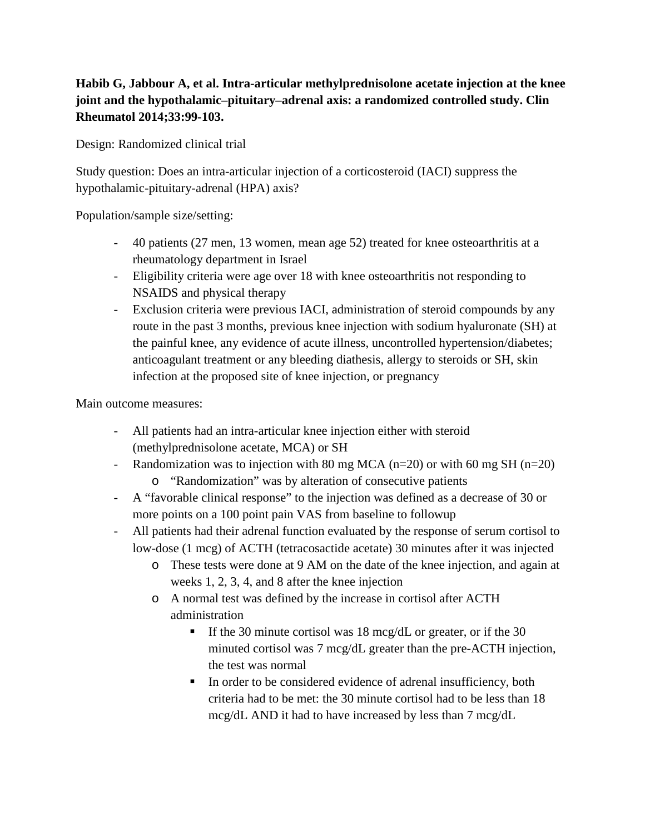## **Habib G, Jabbour A, et al. Intra-articular methylprednisolone acetate injection at the knee joint and the hypothalamic–pituitary–adrenal axis: a randomized controlled study. Clin Rheumatol 2014;33:99-103.**

Design: Randomized clinical trial

Study question: Does an intra-articular injection of a corticosteroid (IACI) suppress the hypothalamic-pituitary-adrenal (HPA) axis?

Population/sample size/setting:

- 40 patients (27 men, 13 women, mean age 52) treated for knee osteoarthritis at a rheumatology department in Israel
- Eligibility criteria were age over 18 with knee osteoarthritis not responding to NSAIDS and physical therapy
- Exclusion criteria were previous IACI, administration of steroid compounds by any route in the past 3 months, previous knee injection with sodium hyaluronate (SH) at the painful knee, any evidence of acute illness, uncontrolled hypertension/diabetes; anticoagulant treatment or any bleeding diathesis, allergy to steroids or SH, skin infection at the proposed site of knee injection, or pregnancy

Main outcome measures:

- All patients had an intra-articular knee injection either with steroid (methylprednisolone acetate, MCA) or SH
- Randomization was to injection with 80 mg MCA ( $n=20$ ) or with 60 mg SH ( $n=20$ )
	- o "Randomization" was by alteration of consecutive patients
- A "favorable clinical response" to the injection was defined as a decrease of 30 or more points on a 100 point pain VAS from baseline to followup
- All patients had their adrenal function evaluated by the response of serum cortisol to low-dose (1 mcg) of ACTH (tetracosactide acetate) 30 minutes after it was injected
	- o These tests were done at 9 AM on the date of the knee injection, and again at weeks 1, 2, 3, 4, and 8 after the knee injection
	- o A normal test was defined by the increase in cortisol after ACTH administration
		- If the 30 minute cortisol was 18 mcg/dL or greater, or if the 30 minuted cortisol was 7 mcg/dL greater than the pre-ACTH injection, the test was normal
		- In order to be considered evidence of adrenal insufficiency, both criteria had to be met: the 30 minute cortisol had to be less than 18 mcg/dL AND it had to have increased by less than 7 mcg/dL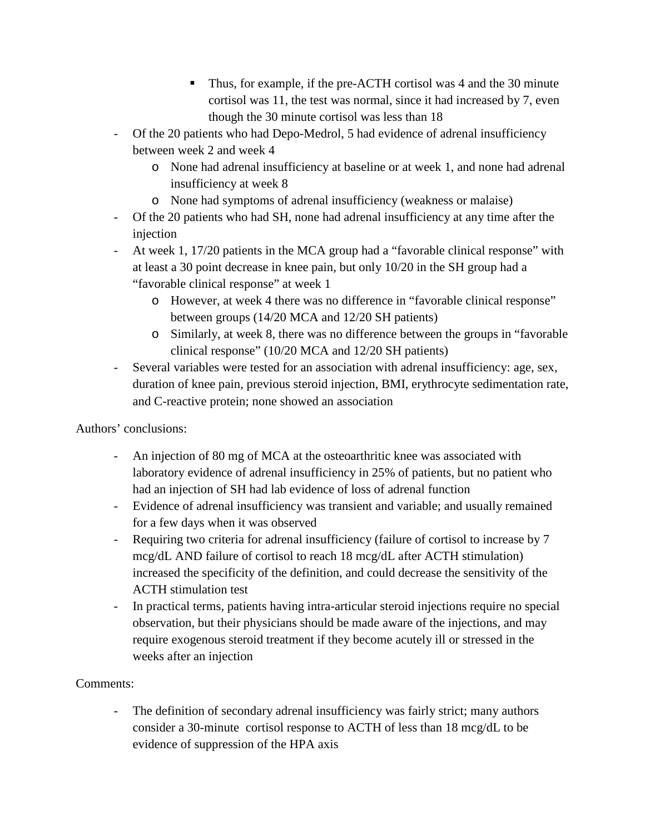- Thus, for example, if the pre-ACTH cortisol was 4 and the 30 minute cortisol was 11, the test was normal, since it had increased by 7, even though the 30 minute cortisol was less than 18
- Of the 20 patients who had Depo-Medrol, 5 had evidence of adrenal insufficiency between week 2 and week 4
	- o None had adrenal insufficiency at baseline or at week 1, and none had adrenal insufficiency at week 8
	- o None had symptoms of adrenal insufficiency (weakness or malaise)
- Of the 20 patients who had SH, none had adrenal insufficiency at any time after the injection
- At week 1, 17/20 patients in the MCA group had a "favorable clinical response" with at least a 30 point decrease in knee pain, but only 10/20 in the SH group had a "favorable clinical response" at week 1
	- o However, at week 4 there was no difference in "favorable clinical response" between groups (14/20 MCA and 12/20 SH patients)
	- o Similarly, at week 8, there was no difference between the groups in "favorable clinical response" (10/20 MCA and 12/20 SH patients)
- Several variables were tested for an association with adrenal insufficiency: age, sex, duration of knee pain, previous steroid injection, BMI, erythrocyte sedimentation rate, and C-reactive protein; none showed an association

## Authors' conclusions:

- An injection of 80 mg of MCA at the osteoarthritic knee was associated with laboratory evidence of adrenal insufficiency in 25% of patients, but no patient who had an injection of SH had lab evidence of loss of adrenal function
- Evidence of adrenal insufficiency was transient and variable; and usually remained for a few days when it was observed
- Requiring two criteria for adrenal insufficiency (failure of cortisol to increase by 7 mcg/dL AND failure of cortisol to reach 18 mcg/dL after ACTH stimulation) increased the specificity of the definition, and could decrease the sensitivity of the ACTH stimulation test
- In practical terms, patients having intra-articular steroid injections require no special observation, but their physicians should be made aware of the injections, and may require exogenous steroid treatment if they become acutely ill or stressed in the weeks after an injection

## Comments:

- The definition of secondary adrenal insufficiency was fairly strict; many authors consider a 30-minute cortisol response to ACTH of less than 18 mcg/dL to be evidence of suppression of the HPA axis